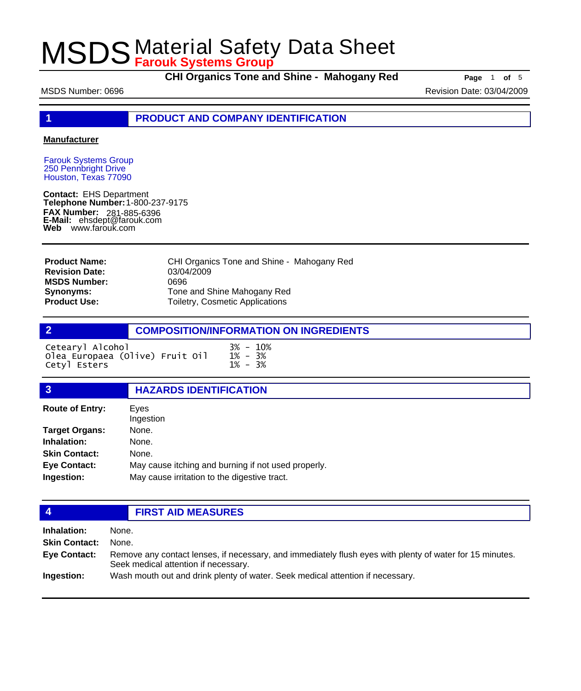**CHI Organics Tone and Shine - Mahogany Red** Page 1 of 5

MSDS Number: 0696 **Revision Date: 03/04/2009** Revision Date: 03/04/2009

**1 PRODUCT AND COMPANY IDENTIFICATION**

### **Manufacturer**

Farouk Systems Group 250 Pennbright Drive Houston, Texas 77090

**Contact:** EHS Department **Telephone Number:** 1-800-237-9175 **FAX Number: FAX Number:** 281-885-6396<br>**E-Mail:** ehsdept@farouk.com **Web** www.farouk.com

| CHI Organics Tone and Shine - Mahogany Red |
|--------------------------------------------|
| 03/04/2009                                 |
| 0696                                       |
| Tone and Shine Mahogany Red                |
| Toiletry, Cosmetic Applications            |
|                                            |

|                                                                     | <b>COMPOSITION/INFORMATION ON INGREDIENTS</b> |
|---------------------------------------------------------------------|-----------------------------------------------|
| Cetearyl Alcohol<br>Olea Europaea (Olive) Fruit Oil<br>Cetyl Esters | $3\% - 10\%$<br>$1\% - 3\%$<br>$1\% - 3\%$    |

## **3 HAZARDS IDENTIFICATION** Eyes Ingestion **Route of Entry: Target Organs:** None. **Inhalation:** None. **Skin Contact:** None. **Eye Contact:** May cause itching and burning if not used properly. **Ingestion:** May cause irritation to the digestive tract.

## **4 FIRST AID MEASURES**

**Inhalation:** None. **Skin Contact:** None. Remove any contact lenses, if necessary, and immediately flush eyes with plenty of water for 15 minutes. Seek medical attention if necessary. **Eye Contact: Ingestion:** Wash mouth out and drink plenty of water. Seek medical attention if necessary.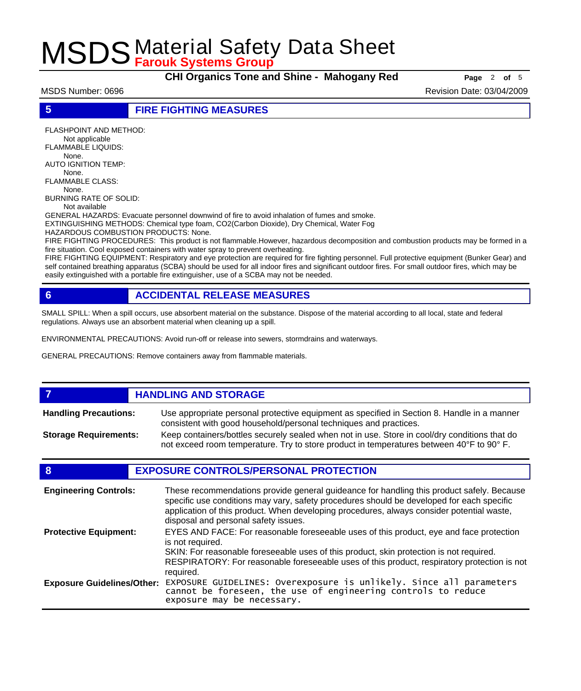**CHI Organics Tone and Shine - Mahogany Red Page** <sup>2</sup> **of** <sup>5</sup>

MSDS Number: 0696 Revision Date: 03/04/2009

**5 FIRE FIGHTING MEASURES**

FLASHPOINT AND METHOD: Not applicable FLAMMABLE LIQUIDS: None. AUTO IGNITION TEMP: None. FLAMMABLE CLASS: None. BURNING RATE OF SOLID:

Not available

GENERAL HAZARDS: Evacuate personnel downwind of fire to avoid inhalation of fumes and smoke. EXTINGUISHING METHODS: Chemical type foam, CO2(Carbon Dioxide), Dry Chemical, Water Fog

HAZARDOUS COMBUSTION PRODUCTS: None.

FIRE FIGHTING PROCEDURES: This product is not flammable.However, hazardous decomposition and combustion products may be formed in a fire situation. Cool exposed containers with water spray to prevent overheating.

FIRE FIGHTING EQUIPMENT: Respiratory and eye protection are required for fire fighting personnel. Full protective equipment (Bunker Gear) and self contained breathing apparatus (SCBA) should be used for all indoor fires and significant outdoor fires. For small outdoor fires, which may be easily extinguished with a portable fire extinguisher, use of a SCBA may not be needed.

## **6 ACCIDENTAL RELEASE MEASURES**

SMALL SPILL: When a spill occurs, use absorbent material on the substance. Dispose of the material according to all local, state and federal regulations. Always use an absorbent material when cleaning up a spill.

ENVIRONMENTAL PRECAUTIONS: Avoid run-off or release into sewers, stormdrains and waterways.

GENERAL PRECAUTIONS: Remove containers away from flammable materials.

### *HANDLING AND STORAGE* Use appropriate personal protective equipment as specified in Section 8. Handle in a manner consistent with good household/personal techniques and practices. **Handling Precautions:** Keep containers/bottles securely sealed when not in use. Store in cool/dry conditions that do not exceed room temperature. Try to store product in temperatures between 40°F to 90° F. **Storage Requirements:**

## **8 EXPOSURE CONTROLS/PERSONAL PROTECTION**

| <b>Engineering Controls:</b>      | These recommendations provide general guideance for handling this product safely. Because<br>specific use conditions may vary, safety procedures should be developed for each specific<br>application of this product. When developing procedures, always consider potential waste,<br>disposal and personal safety issues. |
|-----------------------------------|-----------------------------------------------------------------------------------------------------------------------------------------------------------------------------------------------------------------------------------------------------------------------------------------------------------------------------|
| <b>Protective Equipment:</b>      | EYES AND FACE: For reasonable foreseeable uses of this product, eye and face protection<br>is not required.<br>SKIN: For reasonable foreseeable uses of this product, skin protection is not required.<br>RESPIRATORY: For reasonable foreseeable uses of this product, respiratory protection is not<br>required.          |
| <b>Exposure Guidelines/Other:</b> | EXPOSURE GUIDELINES: Overexposure is unlikely. Since all parameters cannot be foreseen, the use of engineering controls to reduce<br>exposure may be necessary.                                                                                                                                                             |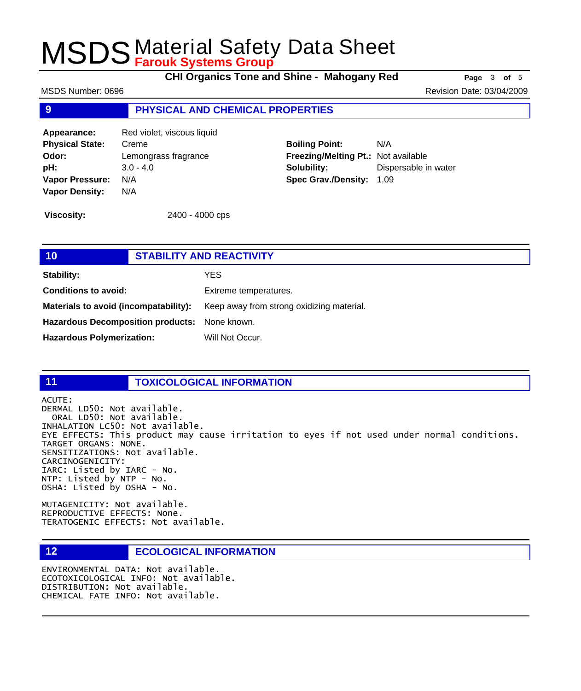**CHI Organics Tone and Shine - Mahogany Red Page** <sup>3</sup> **of** <sup>5</sup>

MSDS Number: 0696 Revision Date: 03/04/2009

### **9 PHYSICAL AND CHEMICAL PROPERTIES**

Appearance: Red violet, viscous liquid **Physical State:** Creme **Odor:** Lemongrass fragrance **pH:** 3.0 - 4.0 **Vapor Pressure:** N/A **Vapor Density:** N/A

**Boiling Point:** N/A **Freezing/Melting Pt.:** Not available **Solubility:** Dispersable in water **Spec Grav./Density:** 1.09

**Viscosity:** 2400 - 4000 cps

| 10                                            |  | <b>STABILITY AND REACTIVITY</b>           |  |
|-----------------------------------------------|--|-------------------------------------------|--|
| Stability:                                    |  | YES                                       |  |
| <b>Conditions to avoid:</b>                   |  | Extreme temperatures.                     |  |
| Materials to avoid (incompatability):         |  | Keep away from strong oxidizing material. |  |
| Hazardous Decomposition products: None known. |  |                                           |  |
| <b>Hazardous Polymerization:</b>              |  | Will Not Occur.                           |  |
|                                               |  |                                           |  |

### **11 TOXICOLOGICAL INFORMATION**

ACUTE:

DERMAL LD50: Not available. ORAL LD50: Not available. INHALATION LC50: Not available. EYE EFFECTS: This product may cause irritation to eyes if not used under normal conditions. TARGET ORGANS: NONE. SENSITIZATIONS: Not available. CARCINOGENICITY: IARC: Listed by IARC - No. NTP: Listed by NTP - No. OSHA: Listed by OSHA - No.

MUTAGENICITY: Not available. REPRODUCTIVE EFFECTS: None. TERATOGENIC EFFECTS: Not available.

## **12 ECOLOGICAL INFORMATION**

ENVIRONMENTAL DATA: Not available. ECOTOXICOLOGICAL INFO: Not available. DISTRIBUTION: Not available. CHEMICAL FATE INFO: Not available.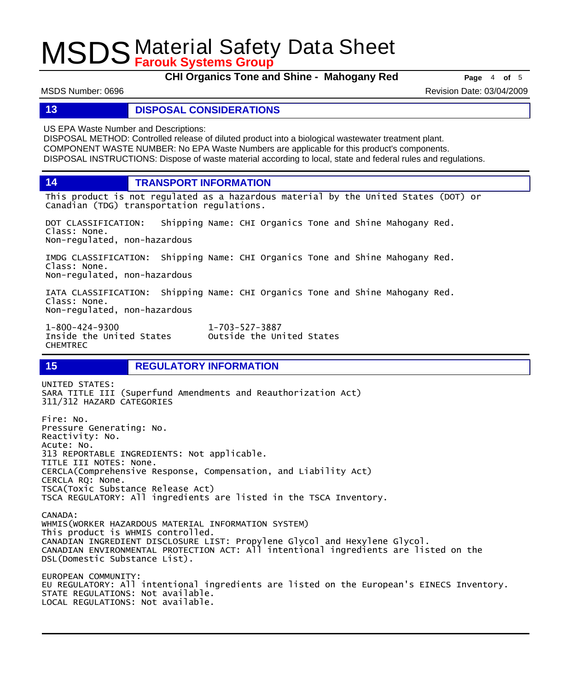**CHI Organics Tone and Shine - Mahogany Red Page** 4 of 5

MSDS Number: 0696 Revision Date: 03/04/2009

### **13 DISPOSAL CONSIDERATIONS**

US EPA Waste Number and Descriptions:

DISPOSAL METHOD: Controlled release of diluted product into a biological wastewater treatment plant. COMPONENT WASTE NUMBER: No EPA Waste Numbers are applicable for this product's components. DISPOSAL INSTRUCTIONS: Dispose of waste material according to local, state and federal rules and regulations.

**14 TRANSPORT INFORMATION**

This product is not regulated as a hazardous material by the United States (DOT) or Canadian (TDG) transportation regulations.

DOT CLASSIFICATION: Shipping Name: CHI Organics Tone and Shine Mahogany Red. Class: None. Non-regulated, non-hazardous

IMDG CLASSIFICATION: Shipping Name: CHI Organics Tone and Shine Mahogany Red. Class: None. Non-regulated, non-hazardous

IATA CLASSIFICATION: Shipping Name: CHI Organics Tone and Shine Mahogany Red. Class: None. Non-regulated, non-hazardous

Outside the United States

1-800-424-9300 1-703-527-3887 CHEMTREC

## **15 REGULATORY INFORMATION**

UNITED STATES: SARA TITLE III (Superfund Amendments and Reauthorization Act) 311/312 HAZARD CATEGORIES Fire: No. Pressure Generating: No. Reactivity: No. Acute: No. 313 REPORTABLE INGREDIENTS: Not applicable. TITLE III NOTES: None. CERCLA(Comprehensive Response, Compensation, and Liability Act) CERCLA RQ: None. TSCA(Toxic Substance Release Act) TSCA REGULATORY: All ingredients are listed in the TSCA Inventory. CANADA: WHMIS(WORKER HAZARDOUS MATERIAL INFORMATION SYSTEM) This product is WHMIS controlled. CANADIAN INGREDIENT DISCLOSURE LIST: Propylene Glycol and Hexylene Glycol. CANADIAN ENVIRONMENTAL PROTECTION ACT: All intentional ingredients are listed on the DSL(Domestic Substance List). EUROPEAN COMMUNITY: EU REGULATORY: All intentional ingredients are listed on the European's EINECS Inventory. STATE REGULATIONS: Not available.

LOCAL REGULATIONS: Not available.